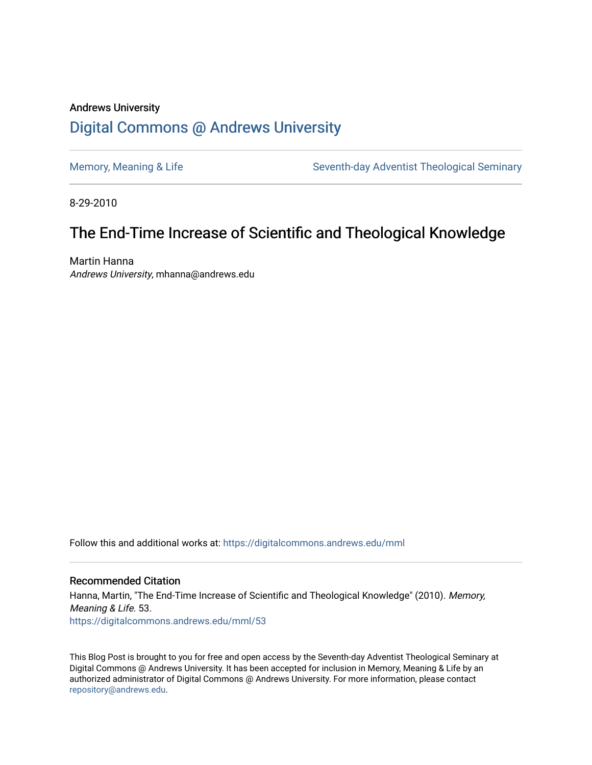# Andrews University [Digital Commons @ Andrews University](https://digitalcommons.andrews.edu/)

[Memory, Meaning & Life](https://digitalcommons.andrews.edu/mml) Seventh-day Adventist Theological Seminary

8-29-2010

# The End-Time Increase of Scientific and Theological Knowledge

Martin Hanna Andrews University, mhanna@andrews.edu

Follow this and additional works at: [https://digitalcommons.andrews.edu/mml](https://digitalcommons.andrews.edu/mml?utm_source=digitalcommons.andrews.edu%2Fmml%2F53&utm_medium=PDF&utm_campaign=PDFCoverPages) 

#### Recommended Citation

Hanna, Martin, "The End-Time Increase of Scientific and Theological Knowledge" (2010). Memory, Meaning & Life. 53. [https://digitalcommons.andrews.edu/mml/53](https://digitalcommons.andrews.edu/mml/53?utm_source=digitalcommons.andrews.edu%2Fmml%2F53&utm_medium=PDF&utm_campaign=PDFCoverPages)

This Blog Post is brought to you for free and open access by the Seventh-day Adventist Theological Seminary at Digital Commons @ Andrews University. It has been accepted for inclusion in Memory, Meaning & Life by an authorized administrator of Digital Commons @ Andrews University. For more information, please contact [repository@andrews.edu](mailto:repository@andrews.edu).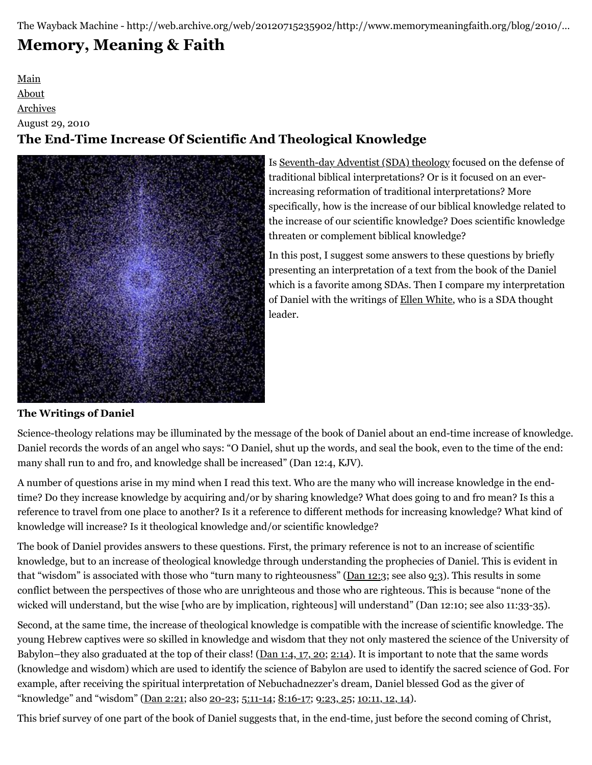The Wayback Machine - http://web.archive.org/web/20120715235902/http://www.memorymeaningfaith.org/blog/2010/…

# **[Memory, Meaning & Faith](http://web.archive.org/web/20120715235902/http://www.memorymeaningfaith.org/blog/)**

[Main](http://web.archive.org/web/20120715235902/http://www.memorymeaningfaith.org/blog) [About](http://web.archive.org/web/20120715235902/http://www.memorymeaningfaith.org/blog/about.html) [Archives](http://web.archive.org/web/20120715235902/http://www.memorymeaningfaith.org/blog/archives.html) August 29, 2010 **The End-Time Increase Of Scientific And Theological Knowledge**



Is [Seventh-day Adventist \(SDA\) theology](http://web.archive.org/web/20120715235902/http://www.adventist.org/beliefs/fundamental/index.html) focused on the defense of traditional biblical interpretations? Or is it focused on an everincreasing reformation of traditional interpretations? More specifically, how is the increase of our biblical knowledge related to the increase of our scientific knowledge? Does scientific knowledge threaten or complement biblical knowledge?

In this post, I suggest some answers to these questions by briefly presenting an interpretation of a text from the book of the Daniel which is a favorite among SDAs. Then I compare my interpretation of Daniel with the writings of [Ellen White](http://web.archive.org/web/20120715235902/http://www.whiteestate.org/about/egwbio.asp), who is a SDA thought leader.

# **The Writings of Daniel**

Science-theology relations may be illuminated by the message of the book of Daniel about an end-time increase of knowledge. Daniel records the words of an angel who says: "O Daniel, shut up the words, and seal the book, even to the time of the end: many shall run to and fro, and knowledge shall be increased" (Dan 12:4, KJV).

A number of questions arise in my mind when I read this text. Who are the many who will increase knowledge in the endtime? Do they increase knowledge by acquiring and/or by sharing knowledge? What does going to and fro mean? Is this a reference to travel from one place to another? Is it a reference to different methods for increasing knowledge? What kind of knowledge will increase? Is it theological knowledge and/or scientific knowledge?

The book of Daniel provides answers to these questions. First, the primary reference is not to an increase of scientific knowledge, but to an increase of theological knowledge through understanding the prophecies of Daniel. This is evident in that "wisdom" is associated with those who "turn many to righteousness" ([Dan 12:3;](http://web.archive.org/web/20120715235902/http://www.biblestudytools.com/kjv/daniel/12-3.html) see also [9:3](http://web.archive.org/web/20120715235902/http://www.biblestudytools.com/kjv/daniel/9-3.html)). This results in some conflict between the perspectives of those who are unrighteous and those who are righteous. This is because "none of the wicked will understand, but the wise [who are by implication, righteous] will understand" (Dan 12:10; see also 11:33-35).

Second, at the same time, the increase of theological knowledge is compatible with the increase of scientific knowledge. The young Hebrew captives were so skilled in knowledge and wisdom that they not only mastered the science of the University of Babylon–they also graduated at the top of their class! ([Dan 1:4, 17, 20](http://web.archive.org/web/20120715235902/http://www.biblestudytools.com/kjv/daniel/passage.aspx?q=Daniel+1:4;Daniel+1:17;Daniel+1:20); [2:14](http://web.archive.org/web/20120715235902/http://www.biblestudytools.com/kjv/daniel/2-14.html)). It is important to note that the same words (knowledge and wisdom) which are used to identify the science of Babylon are used to identify the sacred science of God. For example, after receiving the spiritual interpretation of Nebuchadnezzer's dream, Daniel blessed God as the giver of "knowledge" and "wisdom" [\(Dan 2:21](http://web.archive.org/web/20120715235902/http://www.biblestudytools.com/kjv/daniel/2-21.html); also [20-23](http://web.archive.org/web/20120715235902/http://www.biblestudytools.com/kjv/daniel/passage.aspx?q=Daniel+2:20-23); [5:11-14;](http://web.archive.org/web/20120715235902/http://www.biblestudytools.com/kjv/daniel/passage.aspx?q=Daniel+5:11-14) [8:16-17](http://web.archive.org/web/20120715235902/http://www.biblestudytools.com/kjv/daniel/passage.aspx?q=Daniel+8:16-17); [9:23, 25](http://web.archive.org/web/20120715235902/http://www.biblestudytools.com/kjv/daniel/passage.aspx?q=Daniel+9:23;Daniel+9:25); [10:11, 12, 14](http://web.archive.org/web/20120715235902/http://www.biblestudytools.com/kjv/daniel/passage.aspx?q=Daniel+10:11-12;Daniel+10:14)).

This brief survey of one part of the book of Daniel suggests that, in the end-time, just before the second coming of Christ,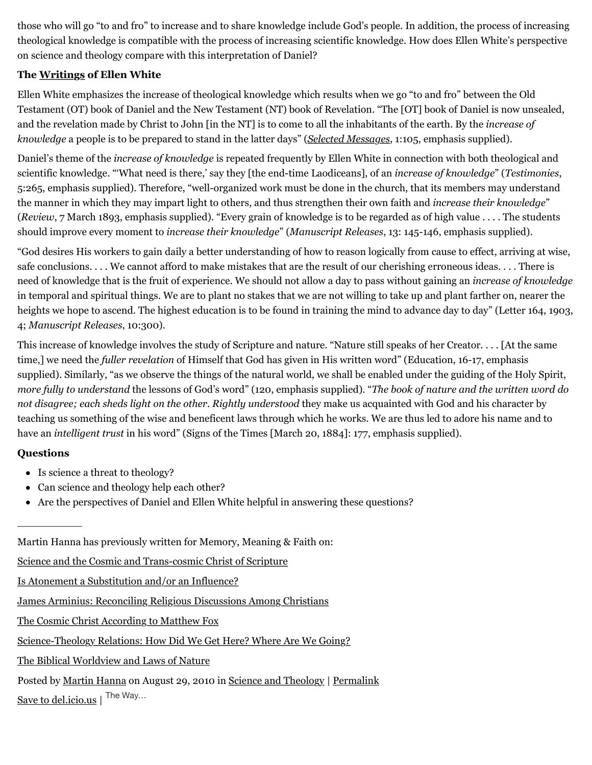those who will go "to and fro" to increase and to share knowledge include God's people. In addition, the process of increasing theological knowledge is compatible with the process of increasing scientific knowledge. How does Ellen White's perspective on science and theology compare with this interpretation of Daniel?

## **The [Writings](http://web.archive.org/web/20120715235902/http://www.whiteestate.org/books/booklist.asp) of Ellen White**

Ellen White emphasizes the increase of theological knowledge which results when we go "to and fro" between the Old Testament (OT) book of Daniel and the New Testament (NT) book of Revelation. "The [OT] book of Daniel is now unsealed, and the revelation made by Christ to John [in the NT] is to come to all the inhabitants of the earth. By the *increase of knowledge* a people is to be prepared to stand in the latter days" (*[Selected Messages](http://web.archive.org/web/20120715235902/http://egwdatabase.whiteestate.org/nxt/gateway.dll?f=templates$fn=default.htm$vid=default)*, 1:105, emphasis supplied).

Daniel's theme of the *increase of knowledge* is repeated frequently by Ellen White in connection with both theological and scientific knowledge. "'What need is there,' say they [the end-time Laodiceans], of an *increase of knowledge*" (*Testimonies*, 5:265, emphasis supplied). Therefore, "well-organized work must be done in the church, that its members may understand the manner in which they may impart light to others, and thus strengthen their own faith and *increase their knowledge*" (*Review*, 7 March 1893, emphasis supplied). "Every grain of knowledge is to be regarded as of high value . . . . The students should improve every moment to *increase their knowledge*" (*Manuscript Releases*, 13: 145-146, emphasis supplied).

"God desires His workers to gain daily a better understanding of how to reason logically from cause to effect, arriving at wise, safe conclusions. . . . We cannot afford to make mistakes that are the result of our cherishing erroneous ideas. . . . There is need of knowledge that is the fruit of experience. We should not allow a day to pass without gaining an *increase of knowledge* in temporal and spiritual things. We are to plant no stakes that we are not willing to take up and plant farther on, nearer the heights we hope to ascend. The highest education is to be found in training the mind to advance day to day" (Letter 164, 1903, 4; *Manuscript Releases*, 10:300).

This increase of knowledge involves the study of Scripture and nature. "Nature still speaks of her Creator. . . . [At the same time,] we need the *fuller revelation* of Himself that God has given in His written word" (Education, 16-17, emphasis supplied). Similarly, "as we observe the things of the natural world, we shall be enabled under the guiding of the Holy Spirit, *more fully to understand* the lessons of God's word" (120, emphasis supplied). "*The book of nature and the written word do not disagree; each sheds light on the other. Rightly understood* they make us acquainted with God and his character by teaching us something of the wise and beneficent laws through which he works. We are thus led to adore his name and to have an *intelligent trust* in his word" (Signs of the Times [March 20, 1884]: 177, emphasis supplied).

## **Questions**

 $\overline{\phantom{a}}$ 

- Is science a threat to theology?
- Can science and theology help each other?
- Are the perspectives of Daniel and Ellen White helpful in answering these questions?

Martin Hanna has previously written for Memory, Meaning & Faith on:

[Science and the Cosmic and Trans-cosmic Christ of Scripture](http://web.archive.org/web/20120715235902/http://www.memorymeaningfaith.org/blog/2010/05/science-and-the-cosmic-and-transcosmic-christ-of-scripture.html)

[Is Atonement a Substitution and/or an Influence?](http://web.archive.org/web/20120715235902/http://www.memorymeaningfaith.org/blog/2010/07/atonement-substitution-influence.html)

[James Arminius: Reconciling Religious Discussions Among Christians](http://web.archive.org/web/20120715235902/http://www.memorymeaningfaith.org/blog/2010/07/james-arminius-reconciling-christians.html)

[The Cosmic Christ According to Matthew Fox](http://web.archive.org/web/20120715235902/http://www.memorymeaningfaith.org/blog/2010/05/cosmic-christ-matthew-fox.html)

[Science-Theology Relations: How Did We Get Here? Where Are We Going?](http://web.archive.org/web/20120715235902/http://www.memorymeaningfaith.org/blog/2010/04/sciencetheology-relations.html)

[The Biblical Worldview and Laws of Nature](http://web.archive.org/web/20120715235902/http://www.memorymeaningfaith.org/blog/2010/03/the-biblical-worldview-and-laws-of-nature.html)

Posted by [Martin Hanna](http://web.archive.org/web/20120715235902/http://profile.typepad.com/mhanna) on August 29, 2010 in [Science and Theology](http://web.archive.org/web/20120715235902/http://www.memorymeaningfaith.org/blog/science-and-theology/) | [Permalink](http://web.archive.org/web/20120715235902/http://www.memorymeaningfaith.org/blog/2010/08/increase-of-scientific-theological-knowledge.html) [Save to del.icio.us](http://web.archive.org/web/20120715235902/http://del.icio.us/post)  $\vert$  The Way...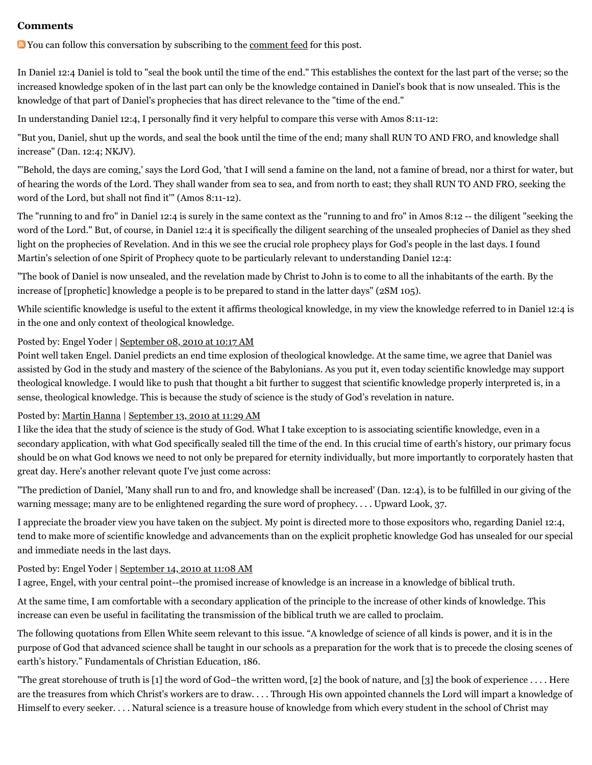#### **Comments**

You can follow this conversation by subscribing to the [comment feed](http://web.archive.org/web/20120715235902/http://www.memorymeaningfaith.org/blog/2010/08/increase-of-scientific-theological-knowledge/comments/atom.xml) for this post.

In Daniel 12:4 Daniel is told to "seal the book until the time of the end." This establishes the context for the last part of the verse; so the increased knowledge spoken of in the last part can only be the knowledge contained in Daniel's book that is now unsealed. This is the knowledge of that part of Daniel's prophecies that has direct relevance to the "time of the end."

In understanding Daniel 12:4, I personally find it very helpful to compare this verse with Amos 8:11-12:

"But you, Daniel, shut up the words, and seal the book until the time of the end; many shall RUN TO AND FRO, and knowledge shall increase" (Dan. 12:4; NKJV).

"'Behold, the days are coming,' says the Lord God, 'that I will send a famine on the land, not a famine of bread, nor a thirst for water, but of hearing the words of the Lord. They shall wander from sea to sea, and from north to east; they shall RUN TO AND FRO, seeking the word of the Lord, but shall not find it'" (Amos 8:11-12).

The "running to and fro" in Daniel 12:4 is surely in the same context as the "running to and fro" in Amos 8:12 -- the diligent "seeking the word of the Lord." But, of course, in Daniel 12:4 it is specifically the diligent searching of the unsealed prophecies of Daniel as they shed light on the prophecies of Revelation. And in this we see the crucial role prophecy plays for God's people in the last days. I found Martin's selection of one Spirit of Prophecy quote to be particularly relevant to understanding Daniel 12:4:

"The book of Daniel is now unsealed, and the revelation made by Christ to John is to come to all the inhabitants of the earth. By the increase of [prophetic] knowledge a people is to be prepared to stand in the latter days" (2SM 105).

While scientific knowledge is useful to the extent it affirms theological knowledge, in my view the knowledge referred to in Daniel 12:4 is in the one and only context of theological knowledge.

#### Posted by: Engel Yoder | [September 08, 2010 at 10:17 AM](http://web.archive.org/web/20120715235902/http://www.memorymeaningfaith.org/blog/2010/08/increase-of-scientific-theological-knowledge.html?cid=6a01287656f488970c0134871cf58d970c#comment-6a01287656f488970c0134871cf58d970c)

Point well taken Engel. Daniel predicts an end time explosion of theological knowledge. At the same time, we agree that Daniel was assisted by God in the study and mastery of the science of the Babylonians. As you put it, even today scientific knowledge may support theological knowledge. I would like to push that thought a bit further to suggest that scientific knowledge properly interpreted is, in a sense, theological knowledge. This is because the study of science is the study of God's revelation in nature.

#### Posted by: [Martin Hanna](http://web.archive.org/web/20120715235902/http://cosmicchristconnections.blogspot.com/) | [September 13, 2010 at 11:29 AM](http://web.archive.org/web/20120715235902/http://www.memorymeaningfaith.org/blog/2010/08/increase-of-scientific-theological-knowledge.html?cid=6a01287656f488970c0134874af5f3970c#comment-6a01287656f488970c0134874af5f3970c)

I like the idea that the study of science is the study of God. What I take exception to is associating scientific knowledge, even in a secondary application, with what God specifically sealed till the time of the end. In this crucial time of earth's history, our primary focus should be on what God knows we need to not only be prepared for eternity individually, but more importantly to corporately hasten that great day. Here's another relevant quote I've just come across:

"The prediction of Daniel, 'Many shall run to and fro, and knowledge shall be increased' (Dan. 12:4), is to be fulfilled in our giving of the warning message; many are to be enlightened regarding the sure word of prophecy. . . . Upward Look, 37.

I appreciate the broader view you have taken on the subject. My point is directed more to those expositors who, regarding Daniel 12:4, tend to make more of scientific knowledge and advancements than on the explicit prophetic knowledge God has unsealed for our special and immediate needs in the last days.

#### Posted by: Engel Yoder | [September 14, 2010 at 11:08 AM](http://web.archive.org/web/20120715235902/http://www.memorymeaningfaith.org/blog/2010/08/increase-of-scientific-theological-knowledge.html?cid=6a01287656f488970c0133f433cb75970b#comment-6a01287656f488970c0133f433cb75970b)

I agree, Engel, with your central point--the promised increase of knowledge is an increase in a knowledge of biblical truth.

At the same time, I am comfortable with a secondary application of the principle to the increase of other kinds of knowledge. This increase can even be useful in facilitating the transmission of the biblical truth we are called to proclaim.

The following quotations from Ellen White seem relevant to this issue. "A knowledge of science of all kinds is power, and it is in the purpose of God that advanced science shall be taught in our schools as a preparation for the work that is to precede the closing scenes of earth's history." Fundamentals of Christian Education, 186.

"The great storehouse of truth is [1] the word of God–the written word, [2] the book of nature, and [3] the book of experience . . . . Here are the treasures from which Christ's workers are to draw. . . . Through His own appointed channels the Lord will impart a knowledge of Himself to every seeker. . . . Natural science is a treasure house of knowledge from which every student in the school of Christ may